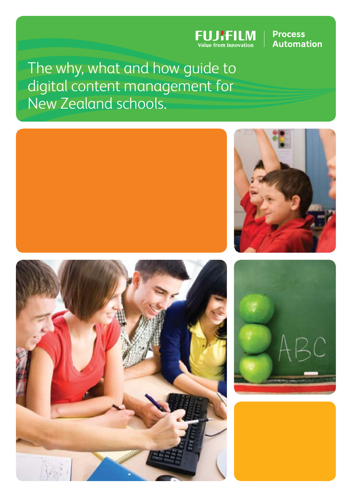

# **Process Automation**

The why, what and how guide to digital content management for New Zealand schools.







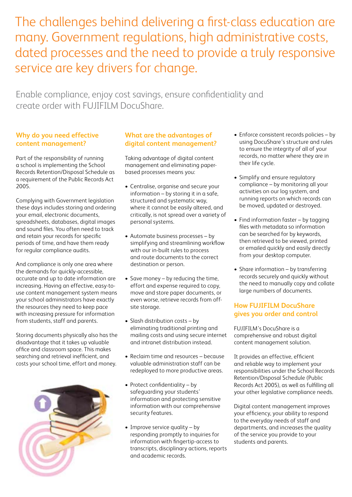The challenges behind delivering a first-class education are many. Government regulations, high administrative costs, dated processes and the need to provide a truly responsive service are key drivers for change.

Enable compliance, enjoy cost savings, ensure confidentiality and create order with FUJIFILM DocuShare.

### **Why do you need effective content management?**

Part of the responsibility of running a school is implementing the School Records Retention/Disposal Schedule as a requirement of the Public Records Act 2005.

Complying with Government legislation these days includes storing and ordering your email, electronic documents, spreadsheets, databases, digital images and sound files. You often need to track and retain your records for specific periods of time, and have them ready for regular compliance audits.

And compliance is only one area where the demands for quickly-accessible, accurate and up to date information are increasing. Having an effective, easy-touse content management system means your school administrators have exactly the resources they need to keep pace with increasing pressure for information from students, staff and parents.

Storing documents physically also has the disadvantage that it takes up valuable office and classroom space. This makes searching and retrieval inefficient, and costs your school time, effort and money.



# **What are the advantages of digital content management?**

Taking advantage of digital content management and eliminating paperbased processes means you:

- Centralise, organise and secure your information – by storing it in a safe, structured and systematic way, where it cannot be easily altered, and critically, is not spread over a variety of personal systems.
- Automate business processes by simplifying and streamlining workflow with our in-built rules to process and route documents to the correct destination or person.
- Save money by reducing the time, effort and expense required to copy, move and store paper documents, or even worse, retrieve records from offsite storage.
- Slash distribution costs by eliminating traditional printing and mailing costs and using secure internet and intranet distribution instead.
- Reclaim time and resources because valuable administration staff can be redeployed to more productive areas.
- Protect confidentiality by safeguarding your students' information and protecting sensitive information with our comprehensive security features.
- Improve service quality by responding promptly to inquiries for information with fingertip-access to transcripts, disciplinary actions, reports and academic records.
- Enforce consistent records policies by using DocuShare's structure and rules to ensure the integrity of all of your records, no matter where they are in their life cycle.
- Simplify and ensure regulatory compliance – by monitoring all your activities on our log system, and running reports on which records can be moved, updated or destroyed.
- Find information faster by tagging files with metadata so information can be searched for by keywords, then retrieved to be viewed, printed or emailed quickly and easily directly from your desktop computer.
- Share information by transferring records securely and quickly without the need to manually copy and collate large numbers of documents.

# **How FUJIFILM DocuShare gives you order and control**

FUJIFILM's DocuShare is a comprehensive and robust digital content management solution.

It provides an effective, efficient and reliable way to implement your responsibilities under the School Records Retention/Disposal Schedule (Public Records Act 2005), as well as fulfilling all your other legislative compliance needs.

Digital content management improves your efficiency, your ability to respond to the everyday needs of staff and departments, and increases the quality of the service you provide to your students and parents.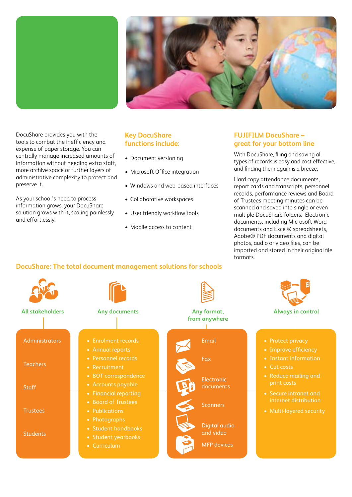

DocuShare provides you with the tools to combat the inefficiency and expense of paper storage. You can centrally manage increased amounts of information without needing extra staff, more archive space or further layers of administrative complexity to protect and preserve it.

As your school's need to process information grows, your DocuShare solution grows with it, scaling painlessly and effortlessly.

#### **Key DocuShare functions include:**

- Document versioning
- Microsoft Office integration
- Windows and web-based interfaces
- Collaborative workspaces
- User friendly workflow tools
- Mobile access to content

#### **FUJIFILM DocuShare – great for your bottom line**

With DocuShare, filing and saving all types of records is easy and cost effective, and finding them again is a breeze.

Hard copy attendance documents, report cards and transcripts, personnel records, performance reviews and Board of Trustees meeting minutes can be scanned and saved into single or even multiple DocuShare folders. Electronic documents, including Microsoft Word documents and Excel® spreadsheets, Adobe® PDF documents and digital photos, audio or video files, can be imported and stored in their original file formats.

# **DocuShare: The total document management solutions for schools**